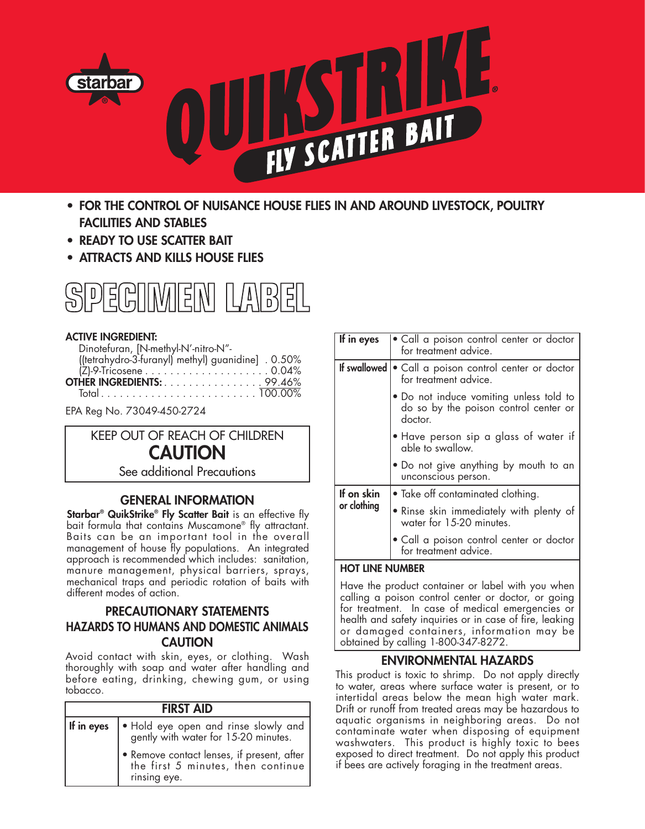

- **FOR THE CONTROL OF NUISANCE HOUSE FLIES IN AND AROUND LIVESTOCK, POULTRY FACILITIES AND STABLES**
- **READY TO USE SCATTER BAIT**
- **ATTRACTS AND KILLS HOUSE FLIES**



## **ACTIVE INGREDIENT:**

| Dinotefuran, [N-methyl-N'-nitro-N"-                 |  |
|-----------------------------------------------------|--|
| ((tetrahydro-3-furanyl) methyl) guanidine [ . 0.50% |  |
|                                                     |  |
| <b>OTHER INGREDIENTS:</b> 99.46%                    |  |
|                                                     |  |

EPA Reg No. 73049-450-2724

# KEEP OUT OF REACH OF CHILDREN **CAUTION** See additional Precautions

## **GENERAL INFORMATION**

**Starbar® QuikStrike® Fly Scatter Bait** is an effective fly bait formula that contains Muscamone® fly attractant. Baits can be an important tool in the overall management of house fly populations. An integrated approach is recommended which includes: sanitation, manure management, physical barriers, sprays, mechanical traps and periodic rotation of baits with different modes of action.

# **PRECAUTIONARY STATEMENTS HAZARDS TO HUMANS AND DOMESTIC ANIMALS CAUTION**

Avoid contact with skin, eyes, or clothing. Wash thoroughly with soap and water after handling and before eating, drinking, chewing gum, or using tobacco.

| <b>FIRST AID</b> |                                                                                                    |  |
|------------------|----------------------------------------------------------------------------------------------------|--|
| If in eyes       | $\bullet$ Hold eye open and rinse slowly and $\circ$ gently with water for 15-20 minutes.          |  |
|                  | • Remove contact lenses, if present, after  <br>the first 5 minutes, then continue<br>rinsing eye. |  |

| If in eyes                | Call a poison control center or doctor<br>for treatment advice.                             |
|---------------------------|---------------------------------------------------------------------------------------------|
| If swallowed              | • Call a poison control center or doctor<br>for treatment advice.                           |
|                           | • Do not induce vomiting unless told to<br>do so by the poison control center or<br>doctor. |
|                           | • Have person sip a glass of water if<br>able to swallow.                                   |
|                           | • Do not give anything by mouth to an<br>unconscious person.                                |
| If on skin<br>or clothing | • Take off contaminated clothing.                                                           |
|                           | • Rinse skin immediately with plenty of<br>water for 15-20 minutes.                         |
|                           | Call a poison control center or doctor<br>for treatment advice.                             |

#### **HOT LINE NUMBER**

Have the product container or label with you when calling a poison control center or doctor, or going for treatment. In case of medical emergencies or health and safety inquiries or in case of fire, leaking or damaged containers, information may be obtained by calling 1-800-347-8272.

## **ENVIRONMENTAL HAZARDS**

This product is toxic to shrimp. Do not apply directly to water, areas where surface water is present, or to intertidal areas below the mean high water mark. Drift or runoff from treated areas may be hazardous to aquatic organisms in neighboring areas. Do not contaminate water when disposing of equipment washwaters. This product is highly toxic to bees exposed to direct treatment. Do not apply this product if bees are actively foraging in the treatment areas.